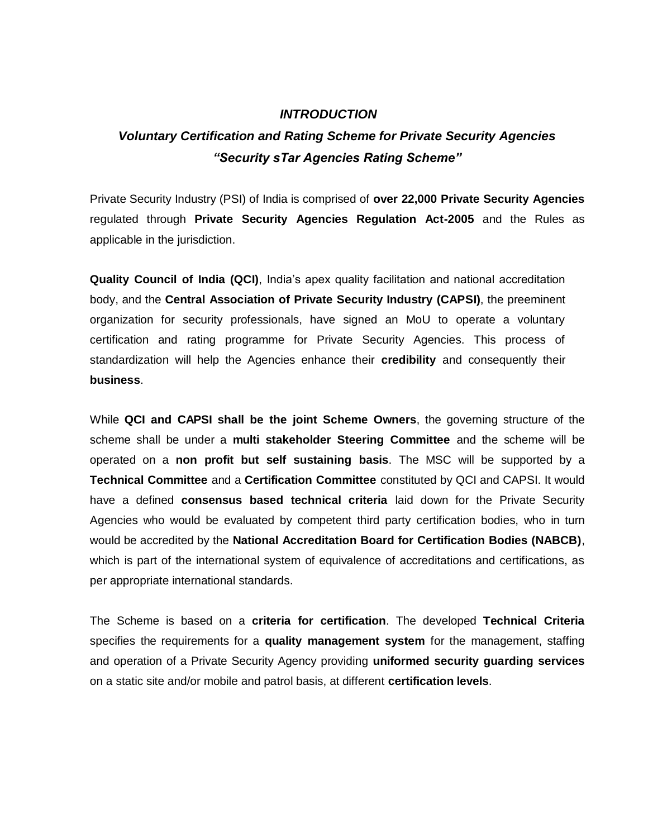## *INTRODUCTION*

## *Voluntary Certification and Rating Scheme for Private Security Agencies "Security sTar Agencies Rating Scheme"*

Private Security Industry (PSI) of India is comprised of **over 22,000 Private Security Agencies**  regulated through **Private Security Agencies Regulation Act-2005** and the Rules as applicable in the jurisdiction.

**Quality Council of India (QCI)**, India's apex quality facilitation and national accreditation body, and the **Central Association of Private Security Industry (CAPSI)**, the preeminent organization for security professionals, have signed an MoU to operate a voluntary certification and rating programme for Private Security Agencies. This process of standardization will help the Agencies enhance their **credibility** and consequently their **business**.

While **QCI and CAPSI shall be the joint Scheme Owners**, the governing structure of the scheme shall be under a **multi stakeholder Steering Committee** and the scheme will be operated on a **non profit but self sustaining basis**. The MSC will be supported by a **Technical Committee** and a **Certification Committee** constituted by QCI and CAPSI. It would have a defined **consensus based technical criteria** laid down for the Private Security Agencies who would be evaluated by competent third party certification bodies, who in turn would be accredited by the **National Accreditation Board for Certification Bodies (NABCB)**, which is part of the international system of equivalence of accreditations and certifications, as per appropriate international standards.

The Scheme is based on a **criteria for certification**. The developed **Technical Criteria**  specifies the requirements for a **quality management system** for the management, staffing and operation of a Private Security Agency providing **uniformed security guarding services**  on a static site and/or mobile and patrol basis, at different **certification levels**.